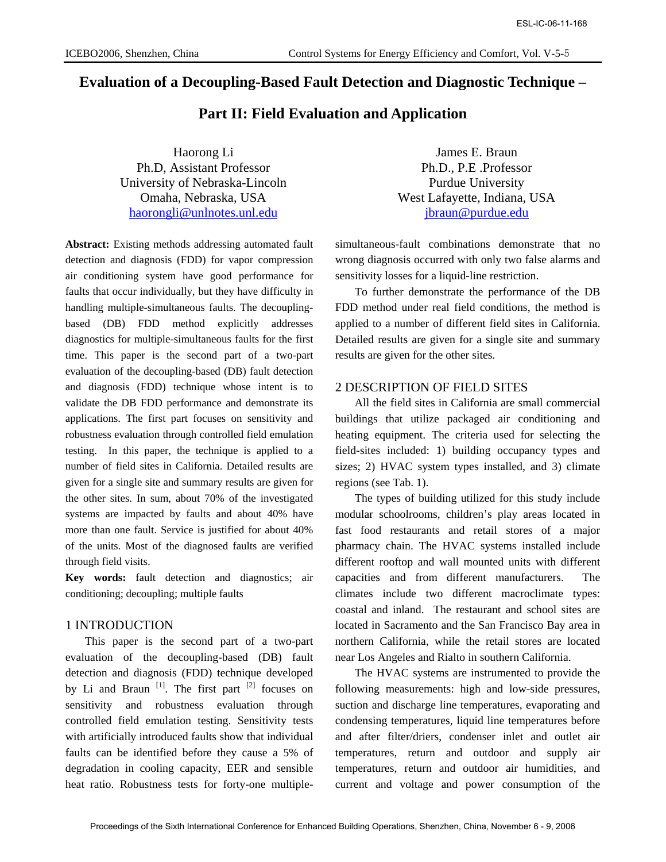## **Evaluation of a Decoupling-Based Fault Detection and Diagnostic Technique –**

## **Part II: Field Evaluation and Application**

Haorong Li James E. Braun Ph.D, Assistant Professor Ph.D., P.E .Professor University of Nebraska-Lincoln Purdue University haorongli@unlnotes.unl.edu jbraun@purdue.edu

**Abstract:** Existing methods addressing automated fault detection and diagnosis (FDD) for vapor compression air conditioning system have good performance for faults that occur individually, but they have difficulty in handling multiple-simultaneous faults. The decouplingbased (DB) FDD method explicitly addresses diagnostics for multiple-simultaneous faults for the first time. This paper is the second part of a two-part evaluation of the decoupling-based (DB) fault detection and diagnosis (FDD) technique whose intent is to validate the DB FDD performance and demonstrate its applications. The first part focuses on sensitivity and robustness evaluation through controlled field emulation testing. In this paper, the technique is applied to a number of field sites in California. Detailed results are given for a single site and summary results are given for the other sites. In sum, about 70% of the investigated systems are impacted by faults and about 40% have more than one fault. Service is justified for about 40% of the units. Most of the diagnosed faults are verified through field visits. CS-C-08-11-189<br>
CS-C-08-11-189<br>
Valuation of a Decoupling-Based Fault Detection and Application<br>
Valuation of a Decoupling-Based Fault Detection and Application<br>
Part II: Field Evaluation and Application<br>
Part II: Field E

**Key words:** fault detection and diagnostics; air conditioning; decoupling; multiple faults

### 1 INTRODUCTION

This paper is the second part of a two-part evaluation of the decoupling-based (DB) fault detection and diagnosis (FDD) technique developed by Li and Braun  $\left[1\right]$ . The first part  $\left[2\right]$  focuses on sensitivity and robustness evaluation through controlled field emulation testing. Sensitivity tests with artificially introduced faults show that individual faults can be identified before they cause a 5% of degradation in cooling capacity, EER and sensible heat ratio. Robustness tests for forty-one multiple-

Omaha, Nebraska, USA West Lafayette, Indiana, USA

simultaneous-fault combinations demonstrate that no wrong diagnosis occurred with only two false alarms and sensitivity losses for a liquid-line restriction.

To further demonstrate the performance of the DB FDD method under real field conditions, the method is applied to a number of different field sites in California. Detailed results are given for a single site and summary results are given for the other sites.

#### 2 DESCRIPTION OF FIELD SITES

All the field sites in California are small commercial buildings that utilize packaged air conditioning and heating equipment. The criteria used for selecting the field-sites included: 1) building occupancy types and sizes; 2) HVAC system types installed, and 3) climate regions (see Tab. 1).

The types of building utilized for this study include modular schoolrooms, children's play areas located in fast food restaurants and retail stores of a major pharmacy chain. The HVAC systems installed include different rooftop and wall mounted units with different capacities and from different manufacturers. The climates include two different macroclimate types: coastal and inland. The restaurant and school sites are located in Sacramento and the San Francisco Bay area in northern California, while the retail stores are located near Los Angeles and Rialto in southern California.

The HVAC systems are instrumented to provide the following measurements: high and low-side pressures, suction and discharge line temperatures, evaporating and condensing temperatures, liquid line temperatures before and after filter/driers, condenser inlet and outlet air temperatures, return and outdoor and supply air temperatures, return and outdoor air humidities, and current and voltage and power consumption of the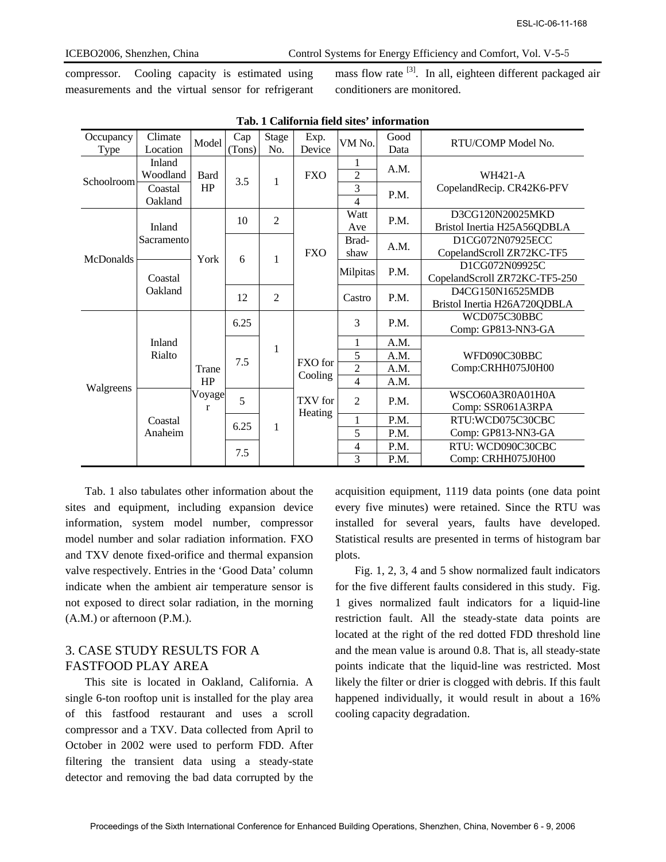compressor. Cooling capacity is estimated using measurements and the virtual sensor for refrigerant mass flow rate <sup>[3]</sup>. In all, eighteen different packaged air conditioners are monitored.

| Occupancy<br>Type<br>Schoolroom<br>McDonalds                                                                                                                                                                                                                                                                                                                                                                                                                                                                                                                                                                                                                                                                                                                              | Climate<br>Location<br>Inland<br>Woodland<br>Coastal | Model             | Cap    |                     |                    |                                  |                                            |                                                                                                                                                                                                                                                                                                                                                                                                                                                                                                                                                                                                                                                                                                                                                                                                                   |
|---------------------------------------------------------------------------------------------------------------------------------------------------------------------------------------------------------------------------------------------------------------------------------------------------------------------------------------------------------------------------------------------------------------------------------------------------------------------------------------------------------------------------------------------------------------------------------------------------------------------------------------------------------------------------------------------------------------------------------------------------------------------------|------------------------------------------------------|-------------------|--------|---------------------|--------------------|----------------------------------|--------------------------------------------|-------------------------------------------------------------------------------------------------------------------------------------------------------------------------------------------------------------------------------------------------------------------------------------------------------------------------------------------------------------------------------------------------------------------------------------------------------------------------------------------------------------------------------------------------------------------------------------------------------------------------------------------------------------------------------------------------------------------------------------------------------------------------------------------------------------------|
|                                                                                                                                                                                                                                                                                                                                                                                                                                                                                                                                                                                                                                                                                                                                                                           |                                                      |                   |        |                     |                    |                                  | Tab. 1 California field sites' information |                                                                                                                                                                                                                                                                                                                                                                                                                                                                                                                                                                                                                                                                                                                                                                                                                   |
|                                                                                                                                                                                                                                                                                                                                                                                                                                                                                                                                                                                                                                                                                                                                                                           |                                                      |                   | (Tons) | <b>Stage</b><br>No. | Exp.<br>Device     | VM No.                           | Good<br>Data                               | RTU/COMP Model No.                                                                                                                                                                                                                                                                                                                                                                                                                                                                                                                                                                                                                                                                                                                                                                                                |
|                                                                                                                                                                                                                                                                                                                                                                                                                                                                                                                                                                                                                                                                                                                                                                           |                                                      | <b>Bard</b><br>HP | 3.5    | 1                   | <b>FXO</b>         | 1<br>$\overline{2}$<br>3         | A.M.                                       | <b>WH421-A</b><br>CopelandRecip. CR42K6-PFV                                                                                                                                                                                                                                                                                                                                                                                                                                                                                                                                                                                                                                                                                                                                                                       |
|                                                                                                                                                                                                                                                                                                                                                                                                                                                                                                                                                                                                                                                                                                                                                                           | Oakland                                              |                   |        |                     |                    | $\overline{4}$                   | P.M.                                       |                                                                                                                                                                                                                                                                                                                                                                                                                                                                                                                                                                                                                                                                                                                                                                                                                   |
|                                                                                                                                                                                                                                                                                                                                                                                                                                                                                                                                                                                                                                                                                                                                                                           | Inland                                               |                   | 10     | $\mathfrak{2}$      |                    | Watt<br>Ave                      | P.M.                                       | D3CG120N20025MKD<br>Bristol Inertia H25A56QDBLA                                                                                                                                                                                                                                                                                                                                                                                                                                                                                                                                                                                                                                                                                                                                                                   |
|                                                                                                                                                                                                                                                                                                                                                                                                                                                                                                                                                                                                                                                                                                                                                                           | Sacramento                                           | York              | 6      | 1                   | <b>FXO</b>         | Brad-<br>shaw                    | A.M.                                       | D1CG072N07925ECC<br>CopelandScroll ZR72KC-TF5                                                                                                                                                                                                                                                                                                                                                                                                                                                                                                                                                                                                                                                                                                                                                                     |
|                                                                                                                                                                                                                                                                                                                                                                                                                                                                                                                                                                                                                                                                                                                                                                           | Coastal                                              |                   |        |                     |                    | Milpitas                         | P.M.                                       | D1CG072N09925C<br>CopelandScroll ZR72KC-TF5-250                                                                                                                                                                                                                                                                                                                                                                                                                                                                                                                                                                                                                                                                                                                                                                   |
|                                                                                                                                                                                                                                                                                                                                                                                                                                                                                                                                                                                                                                                                                                                                                                           | Oakland                                              |                   | 12     | $\overline{2}$      |                    | Castro                           | P.M.                                       | D4CG150N16525MDB<br>Bristol Inertia H26A720QDBLA                                                                                                                                                                                                                                                                                                                                                                                                                                                                                                                                                                                                                                                                                                                                                                  |
|                                                                                                                                                                                                                                                                                                                                                                                                                                                                                                                                                                                                                                                                                                                                                                           |                                                      |                   | 6.25   |                     |                    | 3                                | P.M.                                       | WCD075C30BBC<br>Comp: GP813-NN3-GA                                                                                                                                                                                                                                                                                                                                                                                                                                                                                                                                                                                                                                                                                                                                                                                |
|                                                                                                                                                                                                                                                                                                                                                                                                                                                                                                                                                                                                                                                                                                                                                                           | Inland                                               |                   |        | 1                   |                    | 1                                | A.M.                                       |                                                                                                                                                                                                                                                                                                                                                                                                                                                                                                                                                                                                                                                                                                                                                                                                                   |
|                                                                                                                                                                                                                                                                                                                                                                                                                                                                                                                                                                                                                                                                                                                                                                           | Rialto                                               | Trane<br>HP       | 7.5    |                     | FXO for<br>Cooling | 5                                | A.M.                                       | WFD090C30BBC                                                                                                                                                                                                                                                                                                                                                                                                                                                                                                                                                                                                                                                                                                                                                                                                      |
|                                                                                                                                                                                                                                                                                                                                                                                                                                                                                                                                                                                                                                                                                                                                                                           |                                                      |                   |        |                     |                    | $\overline{2}$<br>$\overline{4}$ | A.M.<br>A.M.                               | Comp:CRHH075J0H00                                                                                                                                                                                                                                                                                                                                                                                                                                                                                                                                                                                                                                                                                                                                                                                                 |
| Walgreens                                                                                                                                                                                                                                                                                                                                                                                                                                                                                                                                                                                                                                                                                                                                                                 | Coastal<br>Anaheim                                   | Voyage<br>r       | 5      |                     | TXV for            | $\mathbf{2}$                     | P.M.                                       | WSCO60A3R0A01H0A<br>Comp: SSR061A3RPA                                                                                                                                                                                                                                                                                                                                                                                                                                                                                                                                                                                                                                                                                                                                                                             |
|                                                                                                                                                                                                                                                                                                                                                                                                                                                                                                                                                                                                                                                                                                                                                                           |                                                      |                   | 6.25   | 1                   | Heating            | $\mathbf{1}$                     | P.M.                                       | RTU:WCD075C30CBC                                                                                                                                                                                                                                                                                                                                                                                                                                                                                                                                                                                                                                                                                                                                                                                                  |
|                                                                                                                                                                                                                                                                                                                                                                                                                                                                                                                                                                                                                                                                                                                                                                           |                                                      |                   |        |                     |                    | 5                                | P.M.                                       | Comp: GP813-NN3-GA                                                                                                                                                                                                                                                                                                                                                                                                                                                                                                                                                                                                                                                                                                                                                                                                |
|                                                                                                                                                                                                                                                                                                                                                                                                                                                                                                                                                                                                                                                                                                                                                                           |                                                      |                   | 7.5    |                     |                    | $\overline{\mathcal{A}}$<br>3    | P.M.<br>P.M.                               | RTU: WCD090C30CBC<br>Comp: CRHH075J0H00                                                                                                                                                                                                                                                                                                                                                                                                                                                                                                                                                                                                                                                                                                                                                                           |
| Tab. 1 also tabulates other information about the<br>es and equipment, including expansion device<br>ormation, system model number, compressor<br>del number and solar radiation information. FXO<br>d TXV denote fixed-orifice and thermal expansion<br>ve respectively. Entries in the 'Good Data' column<br>licate when the ambient air temperature sensor is<br>t exposed to direct solar radiation, in the morning<br>.M.) or afternoon (P.M.).<br>CASE STUDY RESULTS FOR A<br><b>STFOOD PLAY AREA</b><br>This site is located in Oakland, California. A<br>gle 6-ton rooftop unit is installed for the play area<br>this fastfood restaurant and uses a scroll<br>mpressor and a TXV. Data collected from April to<br>tober in 2002 were used to perform FDD. After | ering the transient data using a steady-state        |                   |        |                     |                    | plots.                           |                                            | acquisition equipment, 1119 data points (one data point<br>every five minutes) were retained. Since the RTU w<br>installed for several years, faults have develope<br>Statistical results are presented in terms of histogram b<br>Fig. 1, 2, 3, 4 and 5 show normalized fault indicate<br>for the five different faults considered in this study. F<br>1 gives normalized fault indicators for a liquid-li<br>restriction fault. All the steady-state data points a<br>located at the right of the red dotted FDD threshold li<br>and the mean value is around 0.8. That is, all steady-sta<br>points indicate that the liquid-line was restricted. Mo<br>likely the filter or drier is clogged with debris. If this fa<br>happened individually, it would result in about a 16<br>cooling capacity degradation. |

Tab. 1 also tabulates other information about the sites and equipment, including expansion device information, system model number, compressor model number and solar radiation information. FXO and TXV denote fixed-orifice and thermal expansion valve respectively. Entries in the 'Good Data' column indicate when the ambient air temperature sensor is not exposed to direct solar radiation, in the morning (A.M.) or afternoon (P.M.).

## 3. CASE STUDY RESULTS FOR A FASTFOOD PLAY AREA

This site is located in Oakland, California. A single 6-ton rooftop unit is installed for the play area of this fastfood restaurant and uses a scroll compressor and a TXV. Data collected from April to October in 2002 were used to perform FDD. After filtering the transient data using a steady-state detector and removing the bad data corrupted by the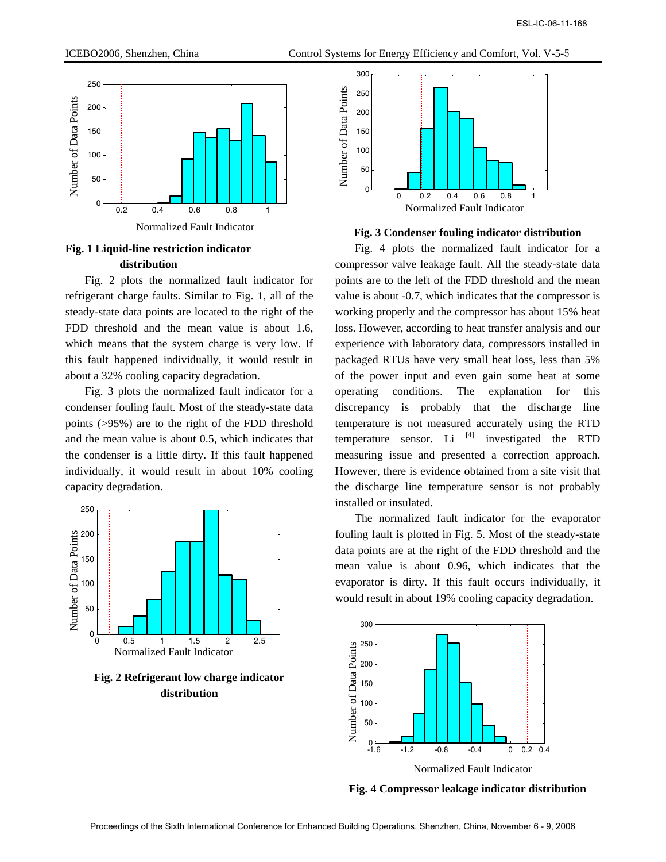

Normalized Fault Indicator

# **Fig. 1 Liquid-line restriction indicator distribution**

Fig. 2 plots the normalized fault indicator for refrigerant charge faults. Similar to Fig. 1, all of the steady-state data points are located to the right of the FDD threshold and the mean value is about 1.6, which means that the system charge is very low. If this fault happened individually, it would result in about a 32% cooling capacity degradation.

Fig. 3 plots the normalized fault indicator for a condenser fouling fault. Most of the steady-state data points (>95%) are to the right of the FDD threshold and the mean value is about 0.5, which indicates that the condenser is a little dirty. If this fault happened individually, it would result in about 10% cooling capacity degradation.



**Fig. 2 Refrigerant low charge indicator distribution** 





Fig. 4 plots the normalized fault indicator for a compressor valve leakage fault. All the steady-state data points are to the left of the FDD threshold and the mean value is about -0.7, which indicates that the compressor is working properly and the compressor has about 15% heat loss. However, according to heat transfer analysis and our experience with laboratory data, compressors installed in packaged RTUs have very small heat loss, less than 5% of the power input and even gain some heat at some operating conditions. The explanation for this discrepancy is probably that the discharge line temperature is not measured accurately using the RTD temperature sensor. Li  $^{[4]}$  investigated the RTD measuring issue and presented a correction approach. However, there is evidence obtained from a site visit that the discharge line temperature sensor is not probably installed or insulated. ESL-IC-06-11-168 Proceedings of the Sixth International Conference for Enhanced Building Operations, Shenzhen, China, November 6 - 9, 2006

The normalized fault indicator for the evaporator fouling fault is plotted in Fig. 5. Most of the steady-state data points are at the right of the FDD threshold and the mean value is about 0.96, which indicates that the evaporator is dirty. If this fault occurs individually, it would result in about 19% cooling capacity degradation.



**Fig. 4 Compressor leakage indicator distribution**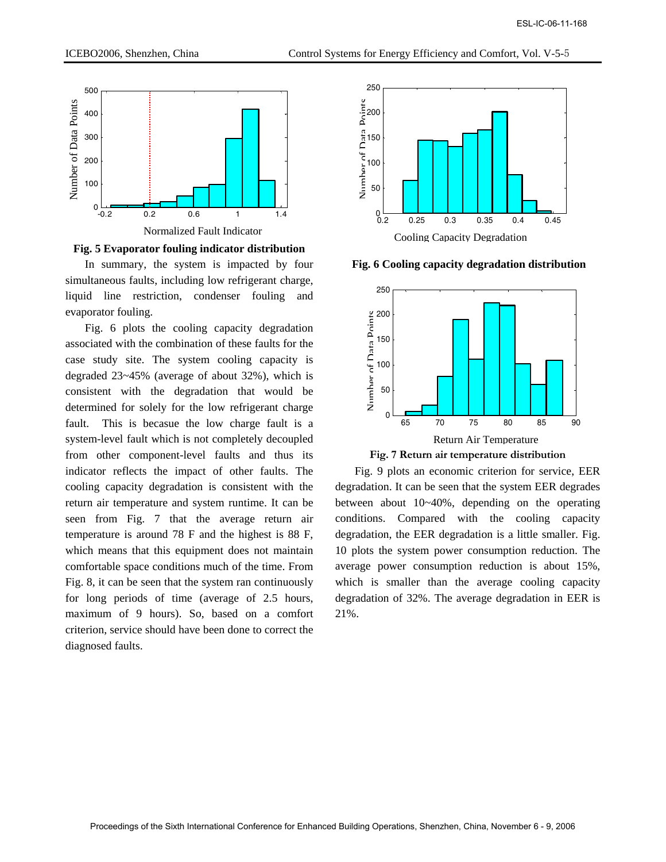

**Fig. 5 Evaporator fouling indicator distribution** 

In summary, the system is impacted by four simultaneous faults, including low refrigerant charge, liquid line restriction, condenser fouling and evaporator fouling.

Fig. 6 plots the cooling capacity degradation associated with the combination of these faults for the case study site. The system cooling capacity is degraded 23~45% (average of about 32%), which is consistent with the degradation that would be determined for solely for the low refrigerant charge fault. This is becasue the low charge fault is a system-level fault which is not completely decoupled from other component-level faults and thus its indicator reflects the impact of other faults. The cooling capacity degradation is consistent with the return air temperature and system runtime. It can be seen from Fig. 7 that the average return air temperature is around 78 F and the highest is 88 F, which means that this equipment does not maintain comfortable space conditions much of the time. From Fig. 8, it can be seen that the system ran continuously for long periods of time (average of 2.5 hours, maximum of 9 hours). So, based on a comfort criterion, service should have been done to correct the diagnosed faults. CS-C-06-11-189<br>
CS-C-06-11-168 Proceedings of the Sixth International Conference for Enlarge Sixth International Conference for Conference for Conference for Eng international Conference for Eng international Conference f



**Fig. 6 Cooling capacity degradation distribution**



**Fig. 7 Return air temperature distribution** 

Fig. 9 plots an economic criterion for service, EER degradation. It can be seen that the system EER degrades between about 10~40%, depending on the operating conditions. Compared with the cooling capacity degradation, the EER degradation is a little smaller. Fig. 10 plots the system power consumption reduction. The average power consumption reduction is about 15%, which is smaller than the average cooling capacity degradation of 32%. The average degradation in EER is 21%.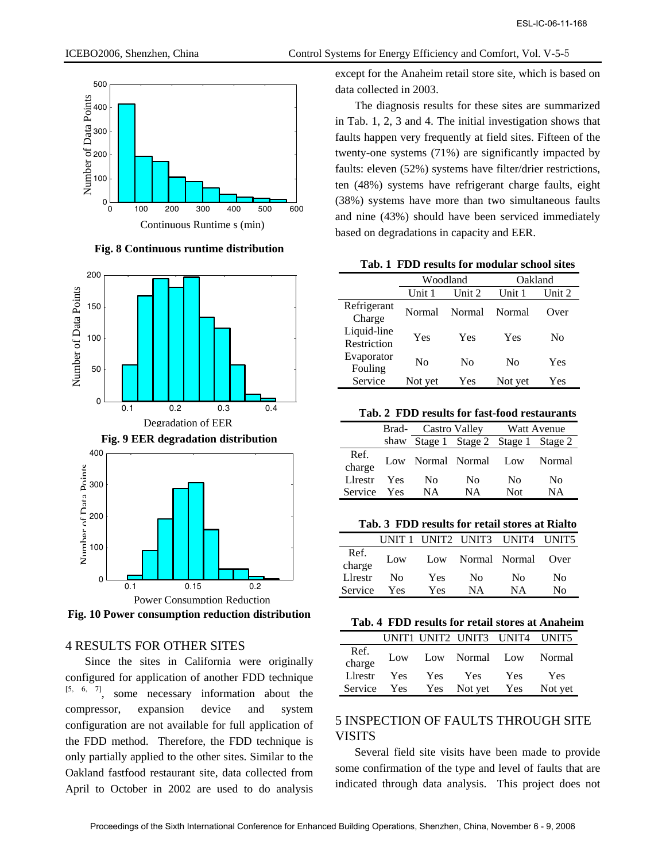

**Fig. 8 Continuous runtime distribution**



**Fig. 10 Power consumption reduction distribution** 

## 4 RESULTS FOR OTHER SITES

Since the sites in California were originally configured for application of another FDD technique [5, 6, 7], some necessary information about the compressor, expansion device and system configuration are not available for full application of the FDD method. Therefore, the FDD technique is only partially applied to the other sites. Similar to the Oakland fastfood restaurant site, data collected from April to October in 2002 are used to do analysis

ICEBO2006, Shenzhen, China Control Systems for Energy Efficiency and Comfort, Vol. V-5-5

except for the Anaheim retail store site, which is based on

The diagnosis results for these sites are summarized in Tab. 1, 2, 3 and 4. The initial investigation shows that faults happen very frequently at field sites. Fifteen of the twenty-one systems (71%) are significantly impacted by faults: eleven (52%) systems have filter/drier restrictions, ten (48%) systems have refrigerant charge faults, eight (38%) systems have more than two simultaneous faults and nine (43%) should have been serviced immediately based on degradations in capacity and EER.

**Tab. 1 FDD results for modular school sites** 

|                            |                  | Woodland | Oakland |        |
|----------------------------|------------------|----------|---------|--------|
|                            | Unit 2<br>Unit 1 |          | Unit 1  | Unit 2 |
| Refrigerant<br>Charge      | Normal           | Normal   | Normal  | Over   |
| Liquid-line<br>Restriction | Yes              | Yes      | Yes     | No     |
| Evaporator<br>Fouling      | No               | No       | No      | Yes    |
| Service                    | Not yet          | Yes      | Not yet | Yes    |

|  | Tab. 2 FDD results for fast-food restaurants |  |  |
|--|----------------------------------------------|--|--|
|--|----------------------------------------------|--|--|

|                | Brad- | Castro Valley |                                      |     | Watt Avenue |
|----------------|-------|---------------|--------------------------------------|-----|-------------|
|                |       |               | shaw Stage 1 Stage 2 Stage 1 Stage 2 |     |             |
| Ref.<br>charge |       |               | Low Normal Normal Low                |     | Normal      |
| Llrestr        | Yes   | No            | No                                   | No  | No          |
| Service        | Yes   | NА            | NΑ                                   | Not | NΑ          |

**Tab. 3 FDD results for retail stores at Rialto** 

|                | <b>INIT1</b> |            |               | UNIT2 UNIT3 UNIT4 UNIT5 |       |
|----------------|--------------|------------|---------------|-------------------------|-------|
| Ref.<br>charge | Low          | Low        | Normal Normal |                         | (Over |
| Llrestr        | Nο           | <b>Yes</b> | No.           | N <sub>0</sub>          | No    |
| Service        | Yes          | Yes        | NΑ            | <b>NA</b>               | No    |

|  |  |  |  |  |  |  |  | Tab. 4 FDD results for retail stores at Anaheim |
|--|--|--|--|--|--|--|--|-------------------------------------------------|
|--|--|--|--|--|--|--|--|-------------------------------------------------|

|                |     |            |             | UNIT1 UNIT2 UNIT3 UNIT4 UNIT5 |         |
|----------------|-----|------------|-------------|-------------------------------|---------|
| Ref.<br>charge | Low |            |             | Low Normal Low Normal         |         |
| Lirestr        | Yes | <b>Yes</b> | Yes         | <b>Yes</b>                    | Yes     |
| Service        | Yes |            | Yes Not yet | Yes                           | Not yet |

# 5 INSPECTION OF FAULTS THROUGH SITE **VISITS**

Several field site visits have been made to provide some confirmation of the type and level of faults that are indicated through data analysis. This project does not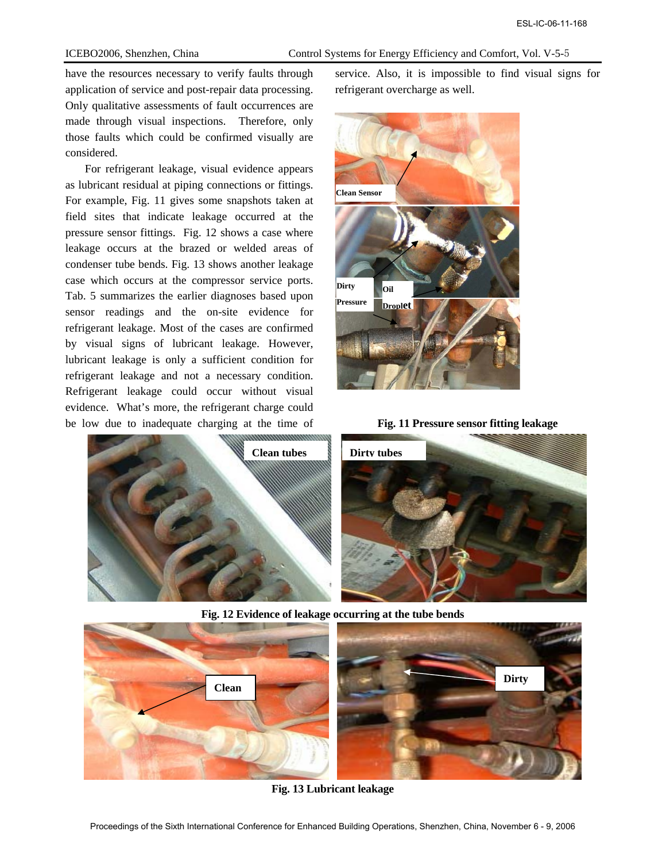have the resources necessary to verify faults through application of service and post-repair data processing. Only qualitative assessments of fault occurrences are made through visual inspections. Therefore, only those faults which could be confirmed visually are considered.

For refrigerant leakage, visual evidence appears as lubricant residual at piping connections or fittings. For example, Fig. 11 gives some snapshots taken at field sites that indicate leakage occurred at the pressure sensor fittings. Fig. 12 shows a case where leakage occurs at the brazed or welded areas of condenser tube bends. Fig. 13 shows another leakage case which occurs at the compressor service ports. Tab. 5 summarizes the earlier diagnoses based upon sensor readings and the on-site evidence for refrigerant leakage. Most of the cases are confirmed by visual signs of lubricant leakage. However, lubricant leakage is only a sufficient condition for refrigerant leakage and not a necessary condition. Refrigerant leakage could occur without visual evidence. What's more, the refrigerant charge could be low due to inadequate charging at the time of



service. Also, it is impossible to find visual signs for refrigerant overcharge as well.







**Fig. 12 Evidence of leakage occurring at the tube bends** 



**Fig. 13 Lubricant leakage**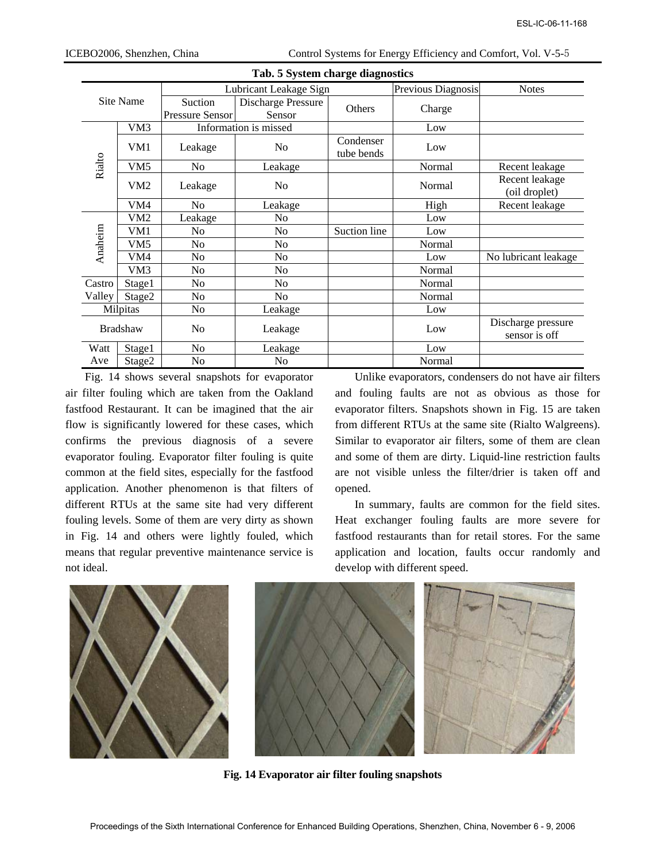|         |                        |                                            | Tab. 5 System charge diagnostics                                                                                                                                                                                                                                                                                                                                                |              |                               |                                                                                                                                                                                                                                                                                                                                                                                                      |
|---------|------------------------|--------------------------------------------|---------------------------------------------------------------------------------------------------------------------------------------------------------------------------------------------------------------------------------------------------------------------------------------------------------------------------------------------------------------------------------|--------------|-------------------------------|------------------------------------------------------------------------------------------------------------------------------------------------------------------------------------------------------------------------------------------------------------------------------------------------------------------------------------------------------------------------------------------------------|
|         |                        |                                            | Lubricant Leakage Sign                                                                                                                                                                                                                                                                                                                                                          |              | Previous Diagnosis            | <b>Notes</b>                                                                                                                                                                                                                                                                                                                                                                                         |
|         | Site Name              | Suction                                    | Discharge Pressure                                                                                                                                                                                                                                                                                                                                                              | Others       | Charge                        |                                                                                                                                                                                                                                                                                                                                                                                                      |
|         |                        | Pressure Sensor                            | Sensor                                                                                                                                                                                                                                                                                                                                                                          |              |                               |                                                                                                                                                                                                                                                                                                                                                                                                      |
|         | VM3                    |                                            | Information is missed                                                                                                                                                                                                                                                                                                                                                           | Condenser    | Low                           |                                                                                                                                                                                                                                                                                                                                                                                                      |
|         | VM1                    | Leakage                                    | No                                                                                                                                                                                                                                                                                                                                                                              | tube bends   | Low                           |                                                                                                                                                                                                                                                                                                                                                                                                      |
| Rialto  | VM <sub>5</sub>        | N <sub>o</sub>                             | Leakage                                                                                                                                                                                                                                                                                                                                                                         |              | Normal                        | Recent leakage                                                                                                                                                                                                                                                                                                                                                                                       |
|         | VM <sub>2</sub>        | Leakage                                    | N <sub>0</sub>                                                                                                                                                                                                                                                                                                                                                                  |              | Normal                        | Recent leakage<br>(oil droplet)                                                                                                                                                                                                                                                                                                                                                                      |
|         | VM4                    | N <sub>o</sub>                             | Leakage                                                                                                                                                                                                                                                                                                                                                                         |              | High                          | Recent leakage                                                                                                                                                                                                                                                                                                                                                                                       |
|         | VM <sub>2</sub>        | Leakage                                    | No                                                                                                                                                                                                                                                                                                                                                                              |              | Low                           |                                                                                                                                                                                                                                                                                                                                                                                                      |
| Anaheim | VM1<br>VM <sub>5</sub> | No<br>No                                   | No<br>No                                                                                                                                                                                                                                                                                                                                                                        | Suction line | Low<br>Normal                 |                                                                                                                                                                                                                                                                                                                                                                                                      |
|         | VM4                    | No                                         | No                                                                                                                                                                                                                                                                                                                                                                              |              | Low                           | No lubricant leakage                                                                                                                                                                                                                                                                                                                                                                                 |
|         | VM3                    | No                                         | No                                                                                                                                                                                                                                                                                                                                                                              |              | Normal                        |                                                                                                                                                                                                                                                                                                                                                                                                      |
| Castro  | Stage1                 | No                                         | No                                                                                                                                                                                                                                                                                                                                                                              |              | Normal                        |                                                                                                                                                                                                                                                                                                                                                                                                      |
| Valley  | Stage2                 | No                                         | N <sub>o</sub>                                                                                                                                                                                                                                                                                                                                                                  |              | Normal                        |                                                                                                                                                                                                                                                                                                                                                                                                      |
|         | Milpitas               | No                                         | Leakage                                                                                                                                                                                                                                                                                                                                                                         |              | Low                           |                                                                                                                                                                                                                                                                                                                                                                                                      |
|         | <b>Bradshaw</b>        | N <sub>0</sub>                             | Leakage                                                                                                                                                                                                                                                                                                                                                                         |              | Low                           | Discharge pressure<br>sensor is off                                                                                                                                                                                                                                                                                                                                                                  |
| Watt    | Stage1                 | N <sub>o</sub>                             | Leakage                                                                                                                                                                                                                                                                                                                                                                         |              | Low                           |                                                                                                                                                                                                                                                                                                                                                                                                      |
| Ave     | Stage2                 | No                                         | N <sub>o</sub><br>Fig. 14 shows several snapshots for evaporator                                                                                                                                                                                                                                                                                                                |              | Normal                        | Unlike evaporators, condensers do not have air filte                                                                                                                                                                                                                                                                                                                                                 |
|         |                        | of rims the previous diagnosis of a severe |                                                                                                                                                                                                                                                                                                                                                                                 |              |                               |                                                                                                                                                                                                                                                                                                                                                                                                      |
| ideal.  |                        |                                            | aporator fouling. Evaporator filter fouling is quite<br>nmon at the field sites, especially for the fastfood<br>olication. Another phenomenon is that filters of<br>ferent RTUs at the same site had very different<br>ling levels. Some of them are very dirty as shown<br>Fig. 14 and others were lightly fouled, which<br>ans that regular preventive maintenance service is | opened.      | develop with different speed. | Similar to evaporator air filters, some of them are cle<br>and some of them are dirty. Liquid-line restriction fau<br>are not visible unless the filter/drier is taken off a<br>In summary, faults are common for the field site<br>Heat exchanger fouling faults are more severe f<br>fastfood restaurants than for retail stores. For the sar<br>application and location, faults occur randomly a |
|         |                        |                                            | Fig. 14 Evaporator air filter fouling snapshots                                                                                                                                                                                                                                                                                                                                 |              |                               |                                                                                                                                                                                                                                                                                                                                                                                                      |

Fig. 14 shows several snapshots for evaporator air filter fouling which are taken from the Oakland fastfood Restaurant. It can be imagined that the air flow is significantly lowered for these cases, which confirms the previous diagnosis of a severe evaporator fouling. Evaporator filter fouling is quite common at the field sites, especially for the fastfood application. Another phenomenon is that filters of different RTUs at the same site had very different fouling levels. Some of them are very dirty as shown in Fig. 14 and others were lightly fouled, which means that regular preventive maintenance service is not ideal.



**Fig. 14 Evaporator air filter fouling snapshots**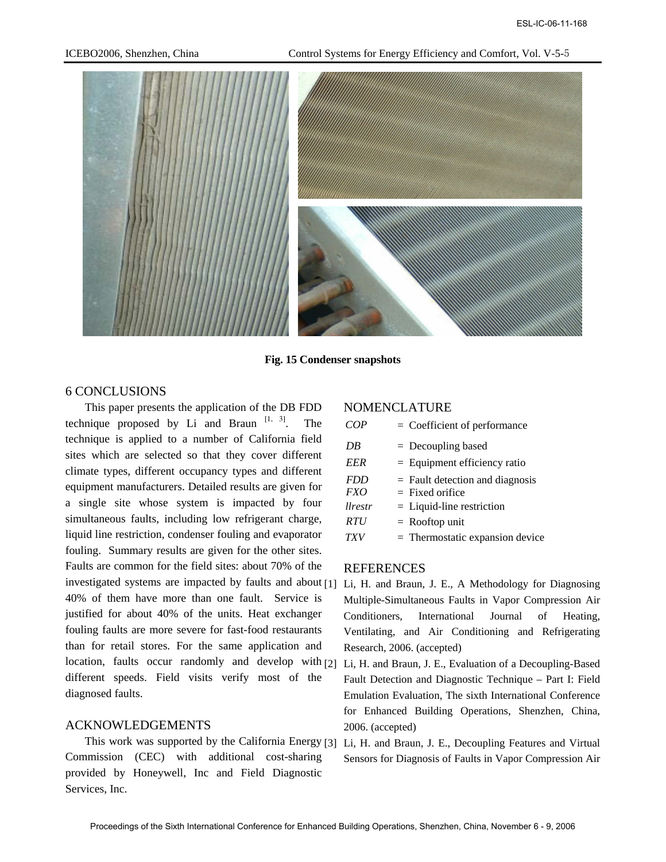

**Fig. 15 Condenser snapshots** 

#### 6 CONCLUSIONS

This paper presents the application of the DB FDD technique proposed by Li and Braun  $[1, 3]$ . The technique is applied to a number of California field sites which are selected so that they cover different climate types, different occupancy types and different equipment manufacturers. Detailed results are given for a single site whose system is impacted by four simultaneous faults, including low refrigerant charge, liquid line restriction, condenser fouling and evaporator fouling. Summary results are given for the other sites. Faults are common for the field sites: about 70% of the investigated systems are impacted by faults and about [1] Li, H. and Braun, J. E., A Methodology for Diagnosing 40% of them have more than one fault. Service is justified for about 40% of the units. Heat exchanger fouling faults are more severe for fast-food restaurants than for retail stores. For the same application and location, faults occur randomly and develop with [2] different speeds. Field visits verify most of the diagnosed faults.

### ACKNOWLEDGEMENTS

This work was supported by the California Energy [3] Li, H. and Braun, J. E., Decoupling Features and Virtual Commission (CEC) with additional cost-sharing provided by Honeywell, Inc and Field Diagnostic Services, Inc.

#### NOMENCLATURE

|                | $=$ Coefficient of performance    |
|----------------|-----------------------------------|
| DB             | $=$ Decoupling based              |
| EER            | $=$ Equipment efficiency ratio    |
| <b>FDD</b>     | $=$ Fault detection and diagnosis |
| <i>FXO</i>     | $=$ Fixed orifice                 |
| <i>llrestr</i> | $=$ Liquid-line restriction       |
| <i>RTU</i>     | $=$ Rooftop unit                  |
| TXV            | $=$ Thermostatic expansion device |

### REFERENCES

- Multiple-Simultaneous Faults in Vapor Compression Air Conditioners, International Journal of Heating, Ventilating, and Air Conditioning and Refrigerating Research, 2006. (accepted)
- Li, H. and Braun, J. E., Evaluation of a Decoupling-Based Fault Detection and Diagnostic Technique – Part I: Field Emulation Evaluation, The sixth International Conference for Enhanced Building Operations, Shenzhen, China, 2006. (accepted)
- Sensors for Diagnosis of Faults in Vapor Compression Air